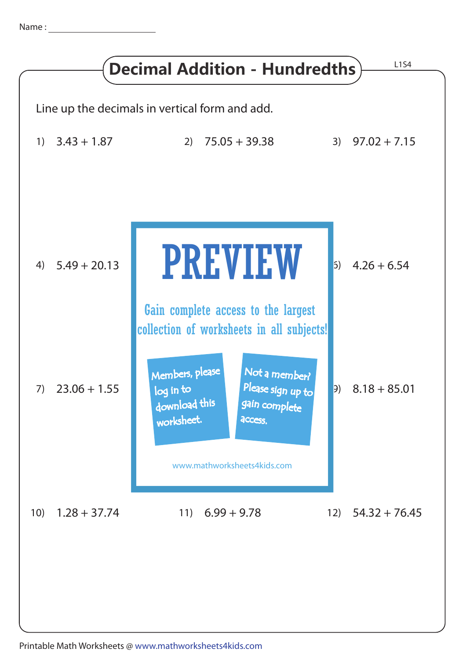